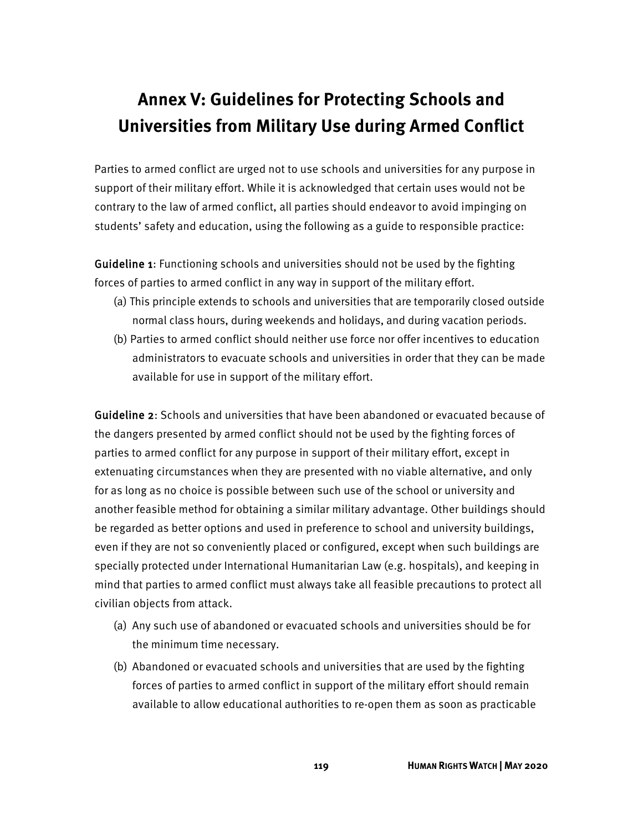## **Annex V: Guidelines for Protecting Schools and Universities from Military Use during Armed Conflict**

Parties to armed conflict are urged not to use schools and universities for any purpose in support of their military effort. While it is acknowledged that certain uses would not be contrary to the law of armed conflict, all parties should endeavor to avoid impinging on students' safety and education, using the following as a guide to responsible practice:

Guideline 1: Functioning schools and universities should not be used by the fighting forces of parties to armed conflict in any way in support of the military effort.

- (a) This principle extends to schools and universities that are temporarily closed outside normal class hours, during weekends and holidays, and during vacation periods.
- (b) Parties to armed conflict should neither use force nor offer incentives to education administrators to evacuate schools and universities in order that they can be made available for use in support of the military effort.

Guideline 2: Schools and universities that have been abandoned or evacuated because of the dangers presented by armed conflict should not be used by the fighting forces of parties to armed conflict for any purpose in support of their military effort, except in extenuating circumstances when they are presented with no viable alternative, and only for as long as no choice is possible between such use of the school or university and another feasible method for obtaining a similar military advantage. Other buildings should be regarded as better options and used in preference to school and university buildings, even if they are not so conveniently placed or configured, except when such buildings are specially protected under International Humanitarian Law (e.g. hospitals), and keeping in mind that parties to armed conflict must always take all feasible precautions to protect all civilian objects from attack.

- (a) Any such use of abandoned or evacuated schools and universities should be for the minimum time necessary.
- (b) Abandoned or evacuated schools and universities that are used by the fighting forces of parties to armed conflict in support of the military effort should remain available to allow educational authorities to re-open them as soon as practicable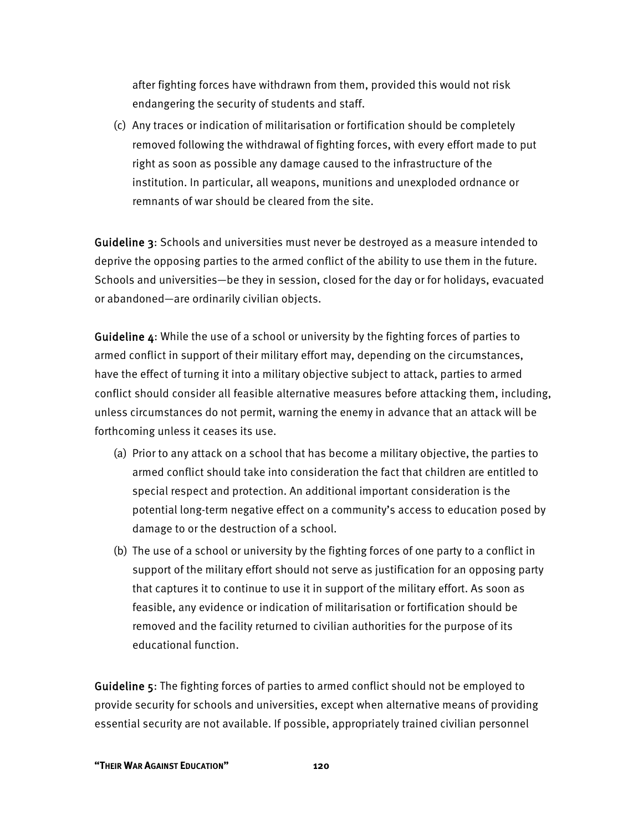after fighting forces have withdrawn from them, provided this would not risk endangering the security of students and staff.

(c) Any traces or indication of militarisation or fortification should be completely removed following the withdrawal of fighting forces, with every effort made to put right as soon as possible any damage caused to the infrastructure of the institution. In particular, all weapons, munitions and unexploded ordnance or remnants of war should be cleared from the site.

Guideline 3: Schools and universities must never be destroyed as a measure intended to deprive the opposing parties to the armed conflict of the ability to use them in the future. Schools and universities—be they in session, closed for the day or for holidays, evacuated or abandoned—are ordinarily civilian objects.

Guideline 4: While the use of a school or university by the fighting forces of parties to armed conflict in support of their military effort may, depending on the circumstances, have the effect of turning it into a military objective subject to attack, parties to armed conflict should consider all feasible alternative measures before attacking them, including, unless circumstances do not permit, warning the enemy in advance that an attack will be forthcoming unless it ceases its use.

- (a) Prior to any attack on a school that has become a military objective, the parties to armed conflict should take into consideration the fact that children are entitled to special respect and protection. An additional important consideration is the potential long-term negative effect on a community's access to education posed by damage to or the destruction of a school.
- (b) The use of a school or university by the fighting forces of one party to a conflict in support of the military effort should not serve as justification for an opposing party that captures it to continue to use it in support of the military effort. As soon as feasible, any evidence or indication of militarisation or fortification should be removed and the facility returned to civilian authorities for the purpose of its educational function.

Guideline 5: The fighting forces of parties to armed conflict should not be employed to provide security for schools and universities, except when alternative means of providing essential security are not available. If possible, appropriately trained civilian personnel